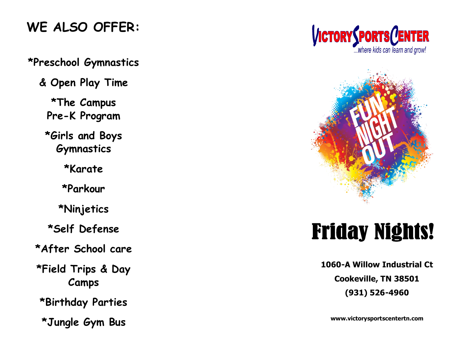## **WE ALSO OFFER:**

#### **\*Preschool Gymnastics**

**& Open Play Time**

**\*The Campus Pre-K Program**

**\*Girls and Boys Gymnastics**

**\*Karate**

**\*Parkour**

**\*Ninjetics**

**\*Self Defense**

**\*After School care**

**\*Field Trips & Day Camps**

**\*Birthday Parties** 

**\*Jungle Gym Bus**





# **Friday Nights!**

**1060-A Willow Industrial Ct Cookeville, TN 38501 (931) 526-4960**

**www.victorysportscentertn.com**